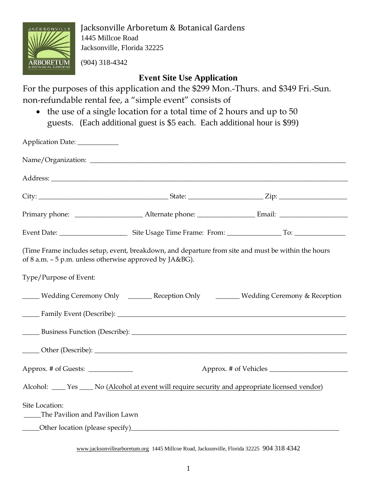

Jacksonville Arboretum & Botanical Gardens 1445 Millcoe Road Jacksonville, Florida 32225

(904) 318-4342

## **Event Site Use Application**

For the purposes of this application and the \$299 Mon.-Thurs. and \$349 Fri.-Sun. non-refundable rental fee, a "simple event" consists of

• the use of a single location for a total time of 2 hours and up to 50 guests. (Each additional guest is \$5 each. Each additional hour is \$99)

| Application Date:                                                                                                                                             |  |                                                                                     |  |
|---------------------------------------------------------------------------------------------------------------------------------------------------------------|--|-------------------------------------------------------------------------------------|--|
|                                                                                                                                                               |  |                                                                                     |  |
|                                                                                                                                                               |  |                                                                                     |  |
|                                                                                                                                                               |  |                                                                                     |  |
|                                                                                                                                                               |  |                                                                                     |  |
|                                                                                                                                                               |  |                                                                                     |  |
| (Time Frame includes setup, event, breakdown, and departure from site and must be within the hours<br>of 8 a.m. - 5 p.m. unless otherwise approved by JA&BG). |  |                                                                                     |  |
| Type/Purpose of Event:                                                                                                                                        |  |                                                                                     |  |
|                                                                                                                                                               |  | Wedding Ceremony Only ________ Reception Only ________ Wedding Ceremony & Reception |  |
|                                                                                                                                                               |  |                                                                                     |  |
|                                                                                                                                                               |  |                                                                                     |  |
|                                                                                                                                                               |  |                                                                                     |  |
| Approx. # of Guests: _____________                                                                                                                            |  |                                                                                     |  |
| Alcohol: ____ Yes ____ No (Alcohol at event will require security and appropriate licensed vendor)                                                            |  |                                                                                     |  |
| Site Location:<br>The Pavilion and Pavilion Lawn                                                                                                              |  |                                                                                     |  |
|                                                                                                                                                               |  |                                                                                     |  |

www.jacksonvillearboretum.org 1445 Millcoe Road, Jacksonville, Florida 32225 904 318 4342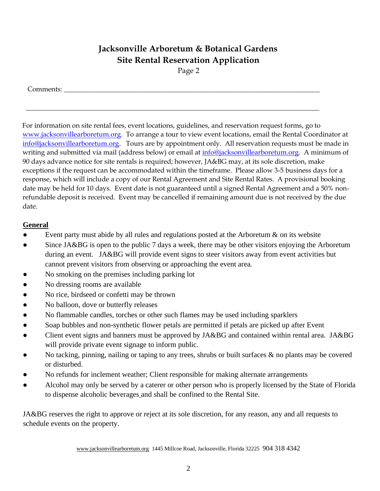# **Jacksonville Arboretum & Botanical Gardens Site Rental Reservation Application**

Page 2

\_\_\_\_\_\_\_\_\_\_\_\_\_\_\_\_\_\_\_\_\_\_\_\_\_\_\_\_\_\_\_\_\_\_\_\_\_\_\_\_\_\_\_\_\_\_\_\_\_\_\_\_\_\_\_\_\_\_\_\_\_\_\_\_\_\_\_\_\_\_\_\_\_\_\_\_\_\_\_\_\_\_\_\_\_\_

Comments:

For information on site rental fees, event locations, guidelines, and reservation request forms, go to [www.jacksonvillearboretum.org.](http://www.jacksonvillearboretum.org/) To arrange a tour to view event locations, email the Rental Coordinator at info@jacksonvillearboretum.org. Tours are by appointment only. All reservation requests must be made in writing and submitted via mail (address below) or email at info@jacksonvillearboretum.org. A minimum of 90 days advance notice for site rentals is required; however, JA&BG may, at its sole discretion, make exceptions if the request can be accommodated within the timeframe. Please allow 3-5 business days for a response, which will include a copy of our Rental Agreement and Site Rental Rates. A provisional booking date may be held for 10 days. Event date is not guaranteed until a signed Rental Agreement and a 50% nonrefundable deposit is received. Event may be cancelled if remaining amount due is not received by the due date.

### **General**

- Event party must abide by all rules and regulations posted at the Arboretum & on its website
- Since JA&BG is open to the public 7 days a week, there may be other visitors enjoying the Arboretum during an event. JA&BG will provide event signs to steer visitors away from event activities but cannot prevent visitors from observing or approaching the event area.
- No smoking on the premises including parking lot
- No dressing rooms are available
- No rice, birdseed or confetti may be thrown
- No balloon, dove or butterfly releases
- No flammable candles, torches or other such flames may be used including sparklers
- Soap bubbles and non-synthetic flower petals are permitted if petals are picked up after Event
- Client event signs and banners must be approved by JA&BG and contained within rental area. JA&BG will provide private event signage to inform public.
- No tacking, pinning, nailing or taping to any trees, shrubs or built surfaces  $\&$  no plants may be covered or disturbed.
- No refunds for inclement weather; Client responsible for making alternate arrangements
- Alcohol may only be served by a caterer or other person who is properly licensed by the State of Florida to dispense alcoholic beverages and shall be confined to the Rental Site.

JA&BG reserves the right to approve or reject at its sole discretion, for any reason, any and all requests to schedule events on the property.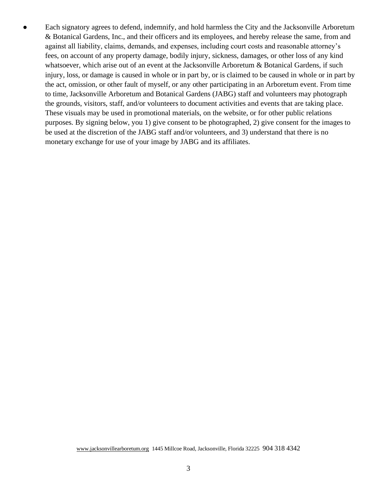• Each signatory agrees to defend, indemnify, and hold harmless the City and the Jacksonville Arboretum & Botanical Gardens, Inc., and their officers and its employees, and hereby release the same, from and against all liability, claims, demands, and expenses, including court costs and reasonable attorney's fees, on account of any property damage, bodily injury, sickness, damages, or other loss of any kind whatsoever, which arise out of an event at the Jacksonville Arboretum & Botanical Gardens, if such injury, loss, or damage is caused in whole or in part by, or is claimed to be caused in whole or in part by the act, omission, or other fault of myself, or any other participating in an Arboretum event. From time to time, Jacksonville Arboretum and Botanical Gardens (JABG) staff and volunteers may photograph the grounds, visitors, staff, and/or volunteers to document activities and events that are taking place. These visuals may be used in promotional materials, on the website, or for other public relations purposes. By signing below, you 1) give consent to be photographed, 2) give consent for the images to be used at the discretion of the JABG staff and/or volunteers, and 3) understand that there is no monetary exchange for use of your image by JABG and its affiliates.